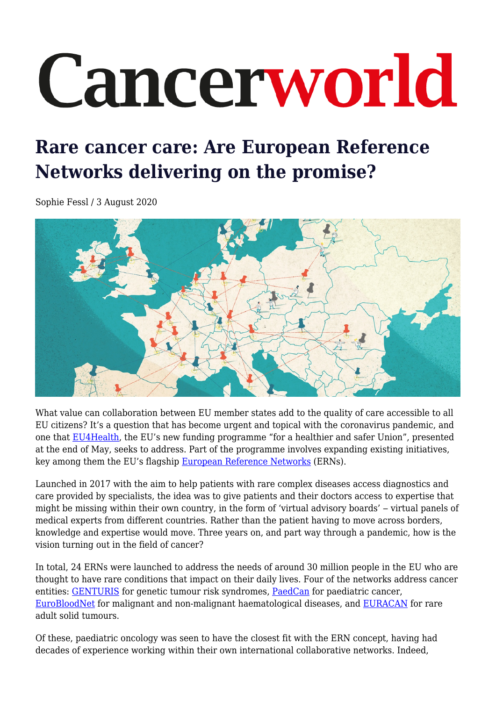# Cancerworld

# **Rare cancer care: Are European Reference Networks delivering on the promise?**

Sophie Fessl / 3 August 2020



What value can collaboration between EU member states add to the quality of care accessible to all EU citizens? It's a question that has become urgent and topical with the coronavirus pandemic, and one that [EU4Health,](https://eu4health.eu/) the EU's new funding programme "for a healthier and safer Union", presented at the end of May, seeks to address. Part of the programme involves expanding existing initiatives, key among them the EU's flagship [European Reference Networks](https://ec.europa.eu/health/ern_en) (ERNs).

Launched in 2017 with the aim to help patients with rare complex diseases access diagnostics and care provided by specialists, the idea was to give patients and their doctors access to expertise that might be missing within their own country, in the form of 'virtual advisory boards' ‒ virtual panels of medical experts from different countries. Rather than the patient having to move across borders, knowledge and expertise would move. Three years on, and part way through a pandemic, how is the vision turning out in the field of cancer?

In total, 24 ERNs were launched to address the needs of around 30 million people in the EU who are thought to have rare conditions that impact on their daily lives. Four of the networks address cancer entities: [GENTURIS](https://www.genturis.eu/l=eng/Home.html) for genetic tumour risk syndromes, [PaedCan](https://paedcan.ern-net.eu/) for paediatric cancer, [EuroBloodNet](https://eurobloodnet.eu/) for malignant and non-malignant haematological diseases, and [EURACAN](https://euracan.ern-net.eu/) for rare adult solid tumours.

Of these, paediatric oncology was seen to have the closest fit with the ERN concept, having had decades of experience working within their own international collaborative networks. Indeed,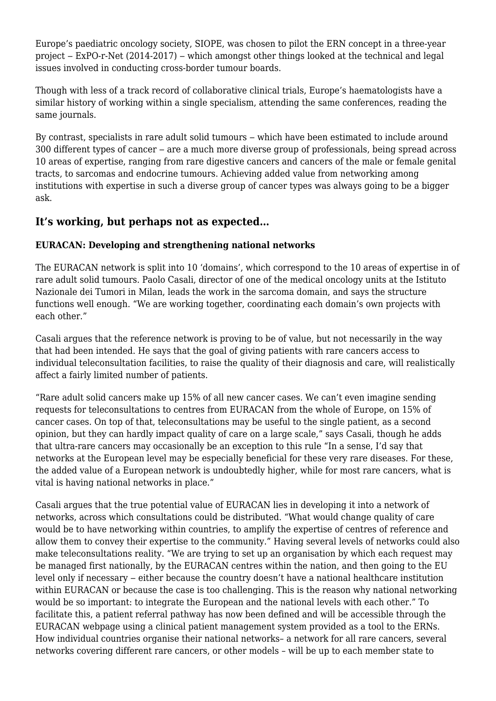Europe's paediatric oncology society, SIOPE, was chosen to pilot the ERN concept in a three-year project ‒ ExPO-r-Net (2014-2017) ‒ which amongst other things looked at the technical and legal issues involved in conducting cross-border tumour boards.

Though with less of a track record of collaborative clinical trials, Europe's haematologists have a similar history of working within a single specialism, attending the same conferences, reading the same journals.

By contrast, specialists in rare adult solid tumours – which have been estimated to include around 300 different types of cancer – are a much more diverse group of professionals, being spread across 10 areas of expertise, ranging from rare digestive cancers and cancers of the male or female genital tracts, to sarcomas and endocrine tumours. Achieving added value from networking among institutions with expertise in such a diverse group of cancer types was always going to be a bigger ask.

#### **It's working, but perhaps not as expected…**

#### **EURACAN: Developing and strengthening national networks**

The EURACAN network is split into 10 'domains', which correspond to the 10 areas of expertise in of rare adult solid tumours. Paolo Casali, director of one of the medical oncology units at the Istituto Nazionale dei Tumori in Milan, leads the work in the sarcoma domain, and says the structure functions well enough. "We are working together, coordinating each domain's own projects with each other."

Casali argues that the reference network is proving to be of value, but not necessarily in the way that had been intended. He says that the goal of giving patients with rare cancers access to individual teleconsultation facilities, to raise the quality of their diagnosis and care, will realistically affect a fairly limited number of patients.

"Rare adult solid cancers make up 15% of all new cancer cases. We can't even imagine sending requests for teleconsultations to centres from EURACAN from the whole of Europe, on 15% of cancer cases. On top of that, teleconsultations may be useful to the single patient, as a second opinion, but they can hardly impact quality of care on a large scale," says Casali, though he adds that ultra-rare cancers may occasionally be an exception to this rule "In a sense, I'd say that networks at the European level may be especially beneficial for these very rare diseases. For these, the added value of a European network is undoubtedly higher, while for most rare cancers, what is vital is having national networks in place."

Casali argues that the true potential value of EURACAN lies in developing it into a network of networks, across which consultations could be distributed. "What would change quality of care would be to have networking within countries, to amplify the expertise of centres of reference and allow them to convey their expertise to the community." Having several levels of networks could also make teleconsultations reality. "We are trying to set up an organisation by which each request may be managed first nationally, by the EURACAN centres within the nation, and then going to the EU level only if necessary – either because the country doesn't have a national healthcare institution within EURACAN or because the case is too challenging. This is the reason why national networking would be so important: to integrate the European and the national levels with each other." To facilitate this, a patient referral pathway has now been defined and will be accessible through the EURACAN webpage using a clinical patient management system provided as a tool to the ERNs. How individual countries organise their national networks– a network for all rare cancers, several networks covering different rare cancers, or other models – will be up to each member state to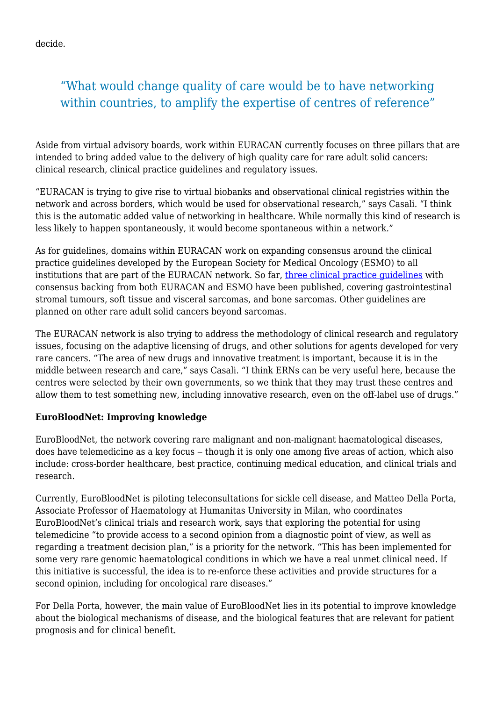decide.

# "What would change quality of care would be to have networking within countries, to amplify the expertise of centres of reference"

Aside from virtual advisory boards, work within EURACAN currently focuses on three pillars that are intended to bring added value to the delivery of high quality care for rare adult solid cancers: clinical research, clinical practice guidelines and regulatory issues.

"EURACAN is trying to give rise to virtual biobanks and observational clinical registries within the network and across borders, which would be used for observational research," says Casali. "I think this is the automatic added value of networking in healthcare. While normally this kind of research is less likely to happen spontaneously, it would become spontaneous within a network."

As for guidelines, domains within EURACAN work on expanding consensus around the clinical practice guidelines developed by the European Society for Medical Oncology (ESMO) to all institutions that are part of the EURACAN network. So far, [three clinical practice guidelines](https://euracan.ern-net.eu/activities/#guidelines) with consensus backing from both EURACAN and ESMO have been published, covering gastrointestinal stromal tumours, soft tissue and visceral sarcomas, and bone sarcomas. Other guidelines are planned on other rare adult solid cancers beyond sarcomas.

The EURACAN network is also trying to address the methodology of clinical research and regulatory issues, focusing on the adaptive licensing of drugs, and other solutions for agents developed for very rare cancers. "The area of new drugs and innovative treatment is important, because it is in the middle between research and care," says Casali. "I think ERNs can be very useful here, because the centres were selected by their own governments, so we think that they may trust these centres and allow them to test something new, including innovative research, even on the off-label use of drugs."

#### **EuroBloodNet: Improving knowledge**

EuroBloodNet, the network covering rare malignant and non-malignant haematological diseases, does have telemedicine as a key focus – though it is only one among five areas of action, which also include: cross-border healthcare, best practice, continuing medical education, and clinical trials and research.

Currently, EuroBloodNet is piloting teleconsultations for sickle cell disease, and Matteo Della Porta, Associate Professor of Haematology at Humanitas University in Milan, who coordinates EuroBloodNet's clinical trials and research work, says that exploring the potential for using telemedicine "to provide access to a second opinion from a diagnostic point of view, as well as regarding a treatment decision plan," is a priority for the network. "This has been implemented for some very rare genomic haematological conditions in which we have a real unmet clinical need. If this initiative is successful, the idea is to re-enforce these activities and provide structures for a second opinion, including for oncological rare diseases."

For Della Porta, however, the main value of EuroBloodNet lies in its potential to improve knowledge about the biological mechanisms of disease, and the biological features that are relevant for patient prognosis and for clinical benefit.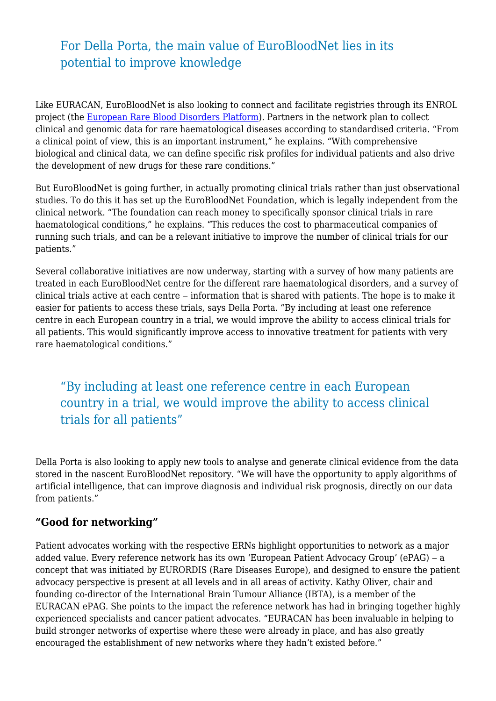# For Della Porta, the main value of EuroBloodNet lies in its potential to improve knowledge

Like EURACAN, EuroBloodNet is also looking to connect and facilitate registries through its ENROL project (the [European Rare Blood Disorders Platform\)](https://eurobloodnet.eu/enrol/#:~:text=European%20Rare%20Blood%20Disorders%20Platform%20(ENROL)&text=ENROL%20aims%20at%20avoiding%20fragmentation,by%20the%20EU%20RD%20platform.). Partners in the network plan to collect clinical and genomic data for rare haematological diseases according to standardised criteria. "From a clinical point of view, this is an important instrument," he explains. "With comprehensive biological and clinical data, we can define specific risk profiles for individual patients and also drive the development of new drugs for these rare conditions."

But EuroBloodNet is going further, in actually promoting clinical trials rather than just observational studies. To do this it has set up the EuroBloodNet Foundation, which is legally independent from the clinical network. "The foundation can reach money to specifically sponsor clinical trials in rare haematological conditions," he explains. "This reduces the cost to pharmaceutical companies of running such trials, and can be a relevant initiative to improve the number of clinical trials for our patients."

Several collaborative initiatives are now underway, starting with a survey of how many patients are treated in each EuroBloodNet centre for the different rare haematological disorders, and a survey of clinical trials active at each centre – information that is shared with patients. The hope is to make it easier for patients to access these trials, says Della Porta. "By including at least one reference centre in each European country in a trial, we would improve the ability to access clinical trials for all patients. This would significantly improve access to innovative treatment for patients with very rare haematological conditions."

"By including at least one reference centre in each European country in a trial, we would improve the ability to access clinical trials for all patients"

Della Porta is also looking to apply new tools to analyse and generate clinical evidence from the data stored in the nascent EuroBloodNet repository. "We will have the opportunity to apply algorithms of artificial intelligence, that can improve diagnosis and individual risk prognosis, directly on our data from patients."

#### **"Good for networking"**

Patient advocates working with the respective ERNs highlight opportunities to network as a major added value. Every reference network has its own 'European Patient Advocacy Group' (ePAG) – a concept that was initiated by EURORDIS (Rare Diseases Europe), and designed to ensure the patient advocacy perspective is present at all levels and in all areas of activity. Kathy Oliver, chair and founding co-director of the International Brain Tumour Alliance (IBTA), is a member of the EURACAN ePAG. She points to the impact the reference network has had in bringing together highly experienced specialists and cancer patient advocates. "EURACAN has been invaluable in helping to build stronger networks of expertise where these were already in place, and has also greatly encouraged the establishment of new networks where they hadn't existed before."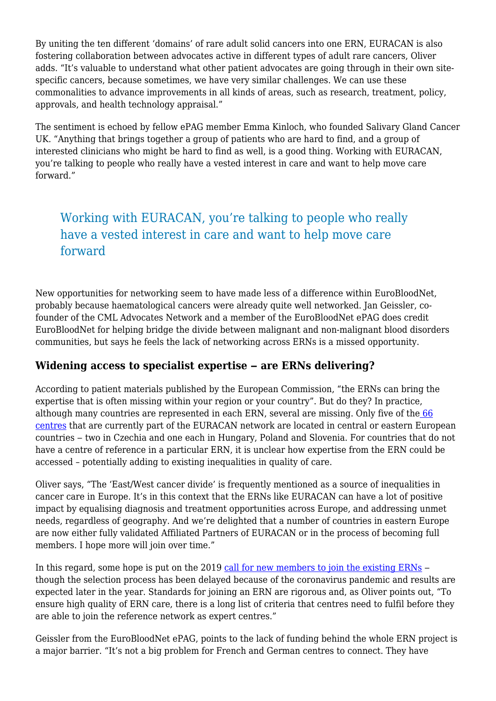By uniting the ten different 'domains' of rare adult solid cancers into one ERN, EURACAN is also fostering collaboration between advocates active in different types of adult rare cancers, Oliver adds. "It's valuable to understand what other patient advocates are going through in their own sitespecific cancers, because sometimes, we have very similar challenges. We can use these commonalities to advance improvements in all kinds of areas, such as research, treatment, policy, approvals, and health technology appraisal."

The sentiment is echoed by fellow ePAG member Emma Kinloch, who founded Salivary Gland Cancer UK. "Anything that brings together a group of patients who are hard to find, and a group of interested clinicians who might be hard to find as well, is a good thing. Working with EURACAN, you're talking to people who really have a vested interest in care and want to help move care forward."

# Working with EURACAN, you're talking to people who really have a vested interest in care and want to help move care forward

New opportunities for networking seem to have made less of a difference within EuroBloodNet, probably because haematological cancers were already quite well networked. Jan Geissler, cofounder of the CML Advocates Network and a member of the EuroBloodNet ePAG does credit EuroBloodNet for helping bridge the divide between malignant and non-malignant blood disorders communities, but says he feels the lack of networking across ERNs is a missed opportunity.

### **Widening access to specialist expertise ‒ are ERNs delivering?**

According to patient materials published by the European Commission, "the ERNs can bring the expertise that is often missing within your region or your country". But do they? In practice, although many countries are represented in each ERN, several are missing. Only five of th[e 66](https://euracan.ern-net.eu/wp-content/uploads/sites/4/2018/02/EURACAN-HCPs.pdf) [centres](https://euracan.ern-net.eu/wp-content/uploads/sites/4/2018/02/EURACAN-HCPs.pdf) that are currently part of the EURACAN network are located in central or eastern European countries – two in Czechia and one each in Hungary, Poland and Slovenia. For countries that do not have a centre of reference in a particular ERN, it is unclear how expertise from the ERN could be accessed – potentially adding to existing inequalities in quality of care.

Oliver says, "The 'East/West cancer divide' is frequently mentioned as a source of inequalities in cancer care in Europe. It's in this context that the ERNs like EURACAN can have a lot of positive impact by equalising diagnosis and treatment opportunities across Europe, and addressing unmet needs, regardless of geography. And we're delighted that a number of countries in eastern Europe are now either fully validated Affiliated Partners of EURACAN or in the process of becoming full members. I hope more will join over time."

In this regard, some hope is put on the 2019 [call for new members to join the existing ERNs](https://ec.europa.eu/health/ern/consultations/2019_call_membership_en) – though the selection process has been delayed because of the coronavirus pandemic and results are expected later in the year. Standards for joining an ERN are rigorous and, as Oliver points out, "To ensure high quality of ERN care, there is a long list of criteria that centres need to fulfil before they are able to join the reference network as expert centres."

Geissler from the EuroBloodNet ePAG, points to the lack of funding behind the whole ERN project is a major barrier. "It's not a big problem for French and German centres to connect. They have